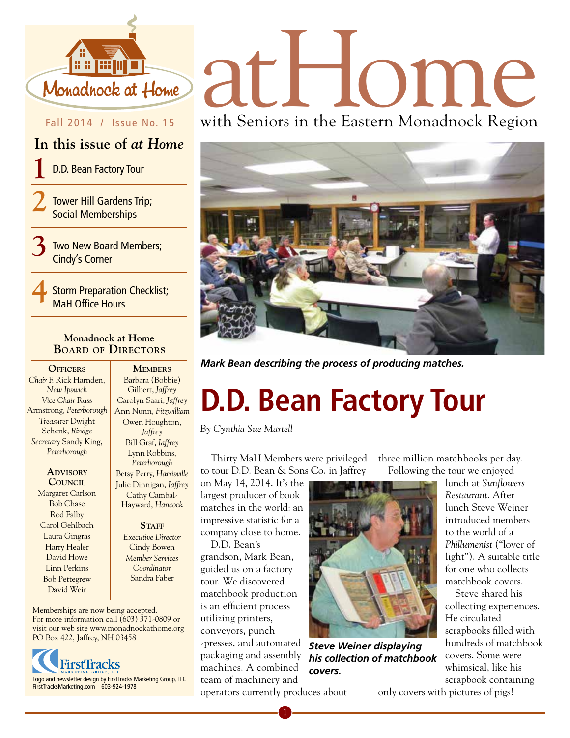

#### Fall 2014 / Issue No. 15

#### **In this issue of** *at Home*

**1** D.D. Bean Factory Tour

**2** Tower Hill Gardens Trip; Social Memberships

**3** Two New Board Members; Cindy's Corner

**4** Storm Preparation Checklist; MaH Office Hours

#### **Monadnock at Home Board of Directors**

**OFFICERS** *Chair* F. Rick Harnden, *New Ipswich Vice Chair* Russ Armstrong, *Peterborough Treasurer* Dwight Schenk, *Rindge Secretary* Sandy King, *Peterborough*

> **Advisory Council** Margaret Carlson Bob Chase Rod Falby Carol Gehlbach Laura Gingras Harry Healer David Howe Linn Perkins Bob Pettegrew David Weir

Barbara (Bobbie) Gilbert, *Jaffrey* Carolyn Saari, *Jaffrey* Ann Nunn, *Fitzwilliam* Owen Houghton, *Jaffrey* Bill Graf, *Jaffrey* Lynn Robbins, *Peterborough* Betsy Perry, *Harrisville*  Julie Dinnigan, *Jaffrey* Cathy Cambal-Hayward, *Hancock*

> STAFF *Executive Director* Cindy Bowen *Member Services Coordinator*  Sandra Faber

Memberships are now being accepted. For more information call (603) 371-0809 or visit our web site www.monadnockathome.org PO Box 422, Jaffrey, NH 03458



# Monadhock at Home and all and C

with Seniors in the Eastern Monadnock Region



**MEMBERS** Mark Bean describing the process of producing matches.

## **D.D. Bean Factory Tour**

*By Cynthia Sue Martell*

Thirty MaH Members were privileged to tour D.D. Bean & Sons Co. in Jaffrey

on May 14, 2014. It's the largest producer of book matches in the world: an impressive statistic for a company close to home.

D.D. Bean's grandson, Mark Bean, guided us on a factory tour. We discovered matchbook production is an efficient process utilizing printers, conveyors, punch -presses, and automated packaging and assembly machines. A combined team of machinery and operators currently produces about



*Steve Weiner displaying his collection of matchbook covers.*

three million matchbooks per day. Following the tour we enjoyed

> lunch at *Sunflowers Restaurant*. After lunch Steve Weiner introduced members to the world of a *Phillumenist* ("lover of light"). A suitable title for one who collects matchbook covers.

Steve shared his collecting experiences. He circulated scrapbooks filled with hundreds of matchbook covers. Some were whimsical, like his scrapbook containing

only covers with pictures of pigs!

**1**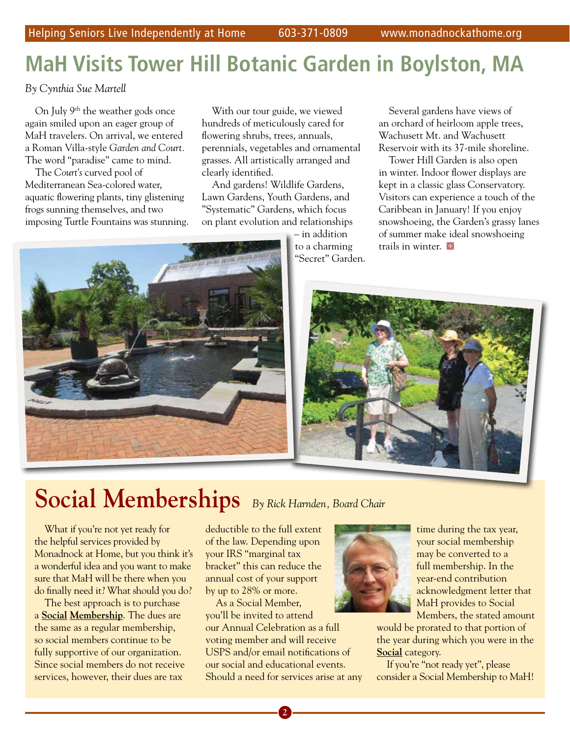## **MaH Visits Tower Hill Botanic Garden in Boylston, MA**

*By Cynthia Sue Martell*

On July 9<sup>th</sup> the weather gods once again smiled upon an eager group of MaH travelers. On arrival, we entered a Roman Villa-style *Garden and Court.* The word "paradise" came to mind.

The *Court's* curved pool of Mediterranean Sea-colored water, aquatic flowering plants, tiny glistening frogs sunning themselves, and two imposing Turtle Fountains was stunning.

With our tour guide, we viewed hundreds of meticulously cared for flowering shrubs, trees, annuals, perennials, vegetables and ornamental grasses. All artistically arranged and clearly identified.

And gardens! Wildlife Gardens, Lawn Gardens, Youth Gardens, and "Systematic" Gardens, which focus on plant evolution and relationships

> – in addition to a charming "Secret" Garden.

Several gardens have views of an orchard of heirloom apple trees, Wachusett Mt. and Wachusett Reservoir with its 37-mile shoreline.

Tower Hill Garden is also open in winter. Indoor flower displays are kept in a classic glass Conservatory. Visitors can experience a touch of the Caribbean in January! If you enjoy snowshoeing, the Garden's grassy lanes of summer make ideal snowshoeing trails in winter.  $\blacksquare$ 





## **Social Memberships** *By Rick Harnden, Board Chair*

What if you're not yet ready for the helpful services provided by Monadnock at Home, but you think it's a wonderful idea and you want to make sure that MaH will be there when you do finally need it? What should you do?

The best approach is to purchase a **Social Membership**. The dues are the same as a regular membership, so social members continue to be fully supportive of our organization. Since social members do not receive services, however, their dues are tax

deductible to the full extent of the law. Depending upon your IRS "marginal tax bracket" this can reduce the annual cost of your support by up to 28% or more.

As a Social Member, you'll be invited to attend our Annual Celebration as a full voting member and will receive USPS and/or email notifications of our social and educational events. Should a need for services arise at any



time during the tax year, your social membership may be converted to a full membership. In the year-end contribution acknowledgment letter that MaH provides to Social Members, the stated amount

would be prorated to that portion of the year during which you were in the **Social** category.

If you're "not ready yet", please consider a Social Membership to MaH!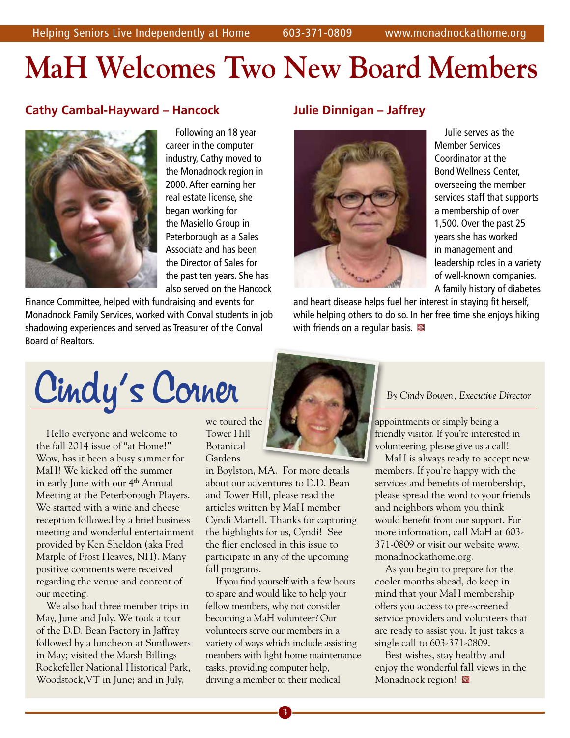# **MaH Welcomes Two New Board Members**

#### **Cathy Cambal-Hayward – Hancock**



Following an 18 year career in the computer industry, Cathy moved to the Monadnock region in 2000. After earning her real estate license, she began working for the Masiello Group in Peterborough as a Sales Associate and has been the Director of Sales for the past ten years. She has also served on the Hancock

Finance Committee, helped with fundraising and events for Monadnock Family Services, worked with Conval students in job shadowing experiences and served as Treasurer of the Conval Board of Realtors.

#### **Julie Dinnigan – Jaffrey**



Julie serves as the Member Services Coordinator at the Bond Wellness Center, overseeing the member services staff that supports a membership of over 1,500. Over the past 25 years she has worked in management and leadership roles in a variety of well-known companies. A family history of diabetes

and heart disease helps fuel her interest in staying fit herself, while helping others to do so. In her free time she enjoys hiking with friends on a regular basis.  $\blacksquare$ 



Hello everyone and welcome to the fall 2014 issue of "at Home!" Wow, has it been a busy summer for MaH! We kicked off the summer in early June with our 4<sup>th</sup> Annual Meeting at the Peterborough Players. We started with a wine and cheese reception followed by a brief business meeting and wonderful entertainment provided by Ken Sheldon (aka Fred Marple of Frost Heaves, NH). Many positive comments were received regarding the venue and content of our meeting.

We also had three member trips in May, June and July. We took a tour of the D.D. Bean Factory in Jaffrey followed by a luncheon at Sunflowers in May; visited the Marsh Billings Rockefeller National Historical Park, Woodstock,VT in June; and in July,

we toured the Tower Hill Botanical Gardens

in Boylston, MA. For more details about our adventures to D.D. Bean and Tower Hill, please read the articles written by MaH member Cyndi Martell. Thanks for capturing the highlights for us, Cyndi! See the flier enclosed in this issue to participate in any of the upcoming fall programs.

If you find yourself with a few hours to spare and would like to help your fellow members, why not consider becoming a MaH volunteer? Our volunteers serve our members in a variety of ways which include assisting members with light home maintenance tasks, providing computer help, driving a member to their medical



appointments or simply being a friendly visitor. If you're interested in volunteering, please give us a call!

MaH is always ready to accept new members. If you're happy with the services and benefits of membership, please spread the word to your friends and neighbors whom you think would benefit from our support. For more information, call MaH at 603- 371-0809 or visit our website www. monadnockathome.org.

As you begin to prepare for the cooler months ahead, do keep in mind that your MaH membership offers you access to pre-screened service providers and volunteers that are ready to assist you. It just takes a single call to 603-371-0809.

Best wishes, stay healthy and enjoy the wonderful fall views in the Monadnock region!